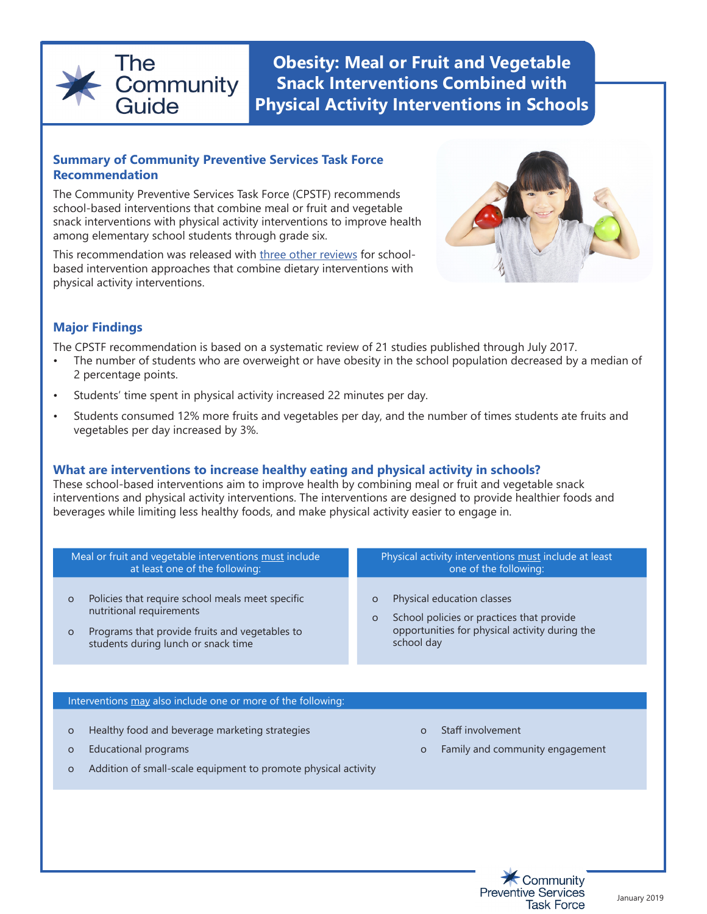

**Obesity: Meal or Fruit and Vegetable Snack Interventions Combined with Physical Activity Interventions in Schools** 

#### **Summary of Community Preventive Services Task Force Recommendation**

The Community Preventive Services Task Force (CPSTF) recommends school-based interventions that combine meal or fruit and vegetable snack interventions with physical activity interventions to improve health among elementary school students through grade six.

This recommendation was released with [three other reviews](https://www.thecommunityguide.org/resources/one-pager-obesity-interventions-increase-healthy-eating-and-physical-activity-schools) for schoolbased intervention approaches that combine dietary interventions with physical activity interventions.



## **Major Findings**

The CPSTF recommendation is based on a systematic review of 21 studies published through July 2017.

- The number of students who are overweight or have obesity in the school population decreased by a median of 2 percentage points.
- Students' time spent in physical activity increased 22 minutes per day.
- Students consumed 12% more fruits and vegetables per day, and the number of times students ate fruits and vegetables per day increased by 3%.

# **What are interventions to increase healthy eating and physical activity in schools?**

These school-based interventions aim to improve health by combining meal or fruit and vegetable snack interventions and physical activity interventions. The interventions are designed to provide healthier foods and beverages while limiting less healthy foods, and make physical activity easier to engage in.

| Meal or fruit and vegetable interventions must include<br>at least one of the following:<br>Policies that require school meals meet specific<br>$\circ$<br>nutritional requirements<br>Programs that provide fruits and vegetables to<br>$\circ$<br>students during lunch or snack time | Physical activity interventions must include at least<br>one of the following:<br>Physical education classes<br>O<br>School policies or practices that provide<br>$\Omega$<br>opportunities for physical activity during the<br>school day |
|-----------------------------------------------------------------------------------------------------------------------------------------------------------------------------------------------------------------------------------------------------------------------------------------|--------------------------------------------------------------------------------------------------------------------------------------------------------------------------------------------------------------------------------------------|
| Interventions may also include one or more of the following:                                                                                                                                                                                                                            |                                                                                                                                                                                                                                            |
| Healthy food and beverage marketing strategies<br>$\circ$<br><b>Educational programs</b><br>$\circ$<br>Addition of small-scale equipment to promote physical activity<br>$\circ$                                                                                                        | Staff involvement<br>$\Omega$<br>Family and community engagement<br>$\Omega$                                                                                                                                                               |
|                                                                                                                                                                                                                                                                                         |                                                                                                                                                                                                                                            |